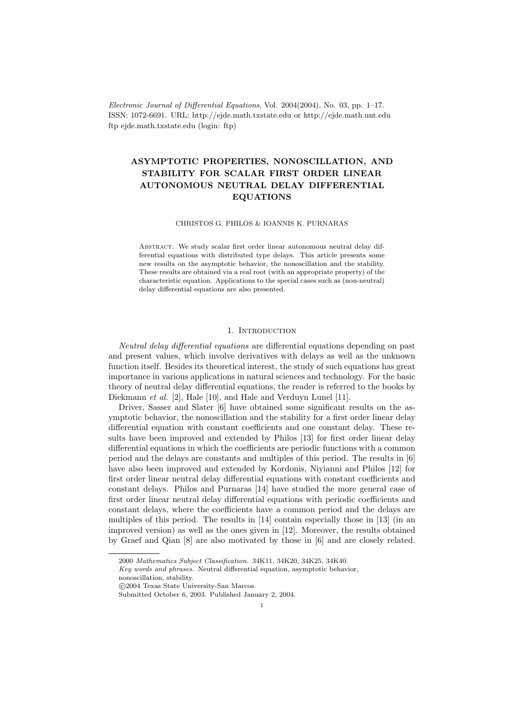Electronic Journal of Differential Equations, Vol. 2004(2004), No. 03, pp. 1–17. ISSN: 1072-6691. URL: http://ejde.math.txstate.edu or http://ejde.math.unt.edu ftp ejde.math.txstate.edu (login: ftp)

# ASYMPTOTIC PROPERTIES, NONOSCILLATION, AND STABILITY FOR SCALAR FIRST ORDER LINEAR AUTONOMOUS NEUTRAL DELAY DIFFERENTIAL EQUATIONS

#### CHRISTOS G. PHILOS & IOANNIS K. PURNARAS

ABSTRACT. We study scalar first order linear autonomous neutral delay differential equations with distributed type delays. This article presents some new results on the asymptotic behavior, the nonoscillation and the stability. These results are obtained via a real root (with an appropriate property) of the characteristic equation. Applications to the special cases such as (non-neutral) delay differential equations are also presented.

#### 1. INTRODUCTION

Neutral delay differential equations are differential equations depending on past and present values, which involve derivatives with delays as well as the unknown function itself. Besides its theoretical interest, the study of such equations has great importance in various applications in natural sciences and technology. For the basic theory of neutral delay differential equations, the reader is referred to the books by Diekmann et al. [2], Hale [10], and Hale and Verduyn Lunel [11].

Driver, Sasser and Slater [6] have obtained some significant results on the asymptotic behavior, the nonoscillation and the stability for a first order linear delay differential equation with constant coefficients and one constant delay. These results have been improved and extended by Philos [13] for first order linear delay differential equations in which the coefficients are periodic functions with a common period and the delays are constants and multiples of this period. The results in [6] have also been improved and extended by Kordonis, Niyianni and Philos [12] for first order linear neutral delay differential equations with constant coefficients and constant delays. Philos and Purnaras [14] have studied the more general case of first order linear neutral delay differential equations with periodic coefficients and constant delays, where the coefficients have a common period and the delays are multiples of this period. The results in [14] contain especially those in [13] (in an improved version) as well as the ones given in [12]. Moreover, the results obtained by Graef and Qian [8] are also motivated by those in [6] and are closely related.

<sup>2000</sup> Mathematics Subject Classification. 34K11, 34K20, 34K25, 34K40.

Key words and phrases. Neutral differential equation, asymptotic behavior,

nonoscillation, stability.

c 2004 Texas State University-San Marcos.

Submitted October 6, 2003. Published January 2, 2004.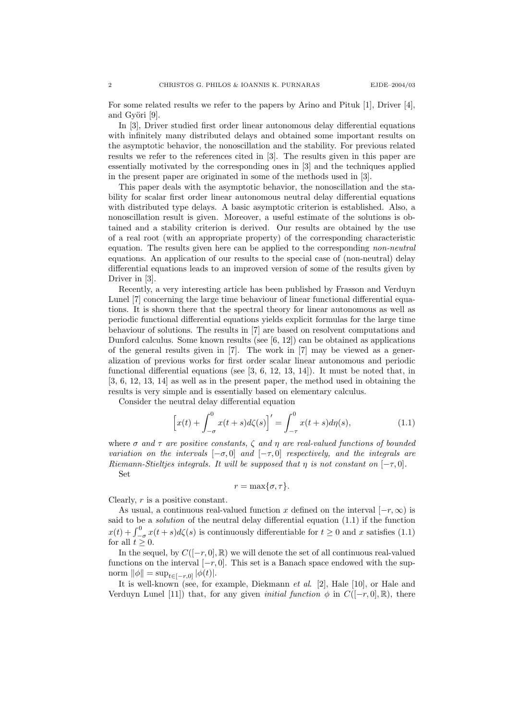For some related results we refer to the papers by Arino and Pituk [1], Driver [4], and Györi [9].

In [3], Driver studied first order linear autonomous delay differential equations with infinitely many distributed delays and obtained some important results on the asymptotic behavior, the nonoscillation and the stability. For previous related results we refer to the references cited in [3]. The results given in this paper are essentially motivated by the corresponding ones in [3] and the techniques applied in the present paper are originated in some of the methods used in [3].

This paper deals with the asymptotic behavior, the nonoscillation and the stability for scalar first order linear autonomous neutral delay differential equations with distributed type delays. A basic asymptotic criterion is established. Also, a nonoscillation result is given. Moreover, a useful estimate of the solutions is obtained and a stability criterion is derived. Our results are obtained by the use of a real root (with an appropriate property) of the corresponding characteristic equation. The results given here can be applied to the corresponding non-neutral equations. An application of our results to the special case of (non-neutral) delay differential equations leads to an improved version of some of the results given by Driver in [3].

Recently, a very interesting article has been published by Frasson and Verduyn Lunel [7] concerning the large time behaviour of linear functional differential equations. It is shown there that the spectral theory for linear autonomous as well as periodic functional differential equations yields explicit formulas for the large time behaviour of solutions. The results in [7] are based on resolvent computations and Dunford calculus. Some known results (see [6, 12]) can be obtained as applications of the general results given in [7]. The work in [7] may be viewed as a generalization of previous works for first order scalar linear autonomous and periodic functional differential equations (see  $[3, 6, 12, 13, 14]$ ). It must be noted that, in [3, 6, 12, 13, 14] as well as in the present paper, the method used in obtaining the results is very simple and is essentially based on elementary calculus.

Consider the neutral delay differential equation

$$
\[x(t) + \int_{-\sigma}^{0} x(t+s)d\zeta(s)\]' = \int_{-\tau}^{0} x(t+s)d\eta(s),\tag{1.1}
$$

where  $\sigma$  and  $\tau$  are positive constants,  $\zeta$  and  $\eta$  are real-valued functions of bounded variation on the intervals  $[-\sigma, 0]$  and  $[-\tau, 0]$  respectively, and the integrals are Riemann-Stieltjes integrals. It will be supposed that  $\eta$  is not constant on  $[-\tau, 0]$ . Set

 $r = \max\{\sigma, \tau\}.$ 

Clearly,  $r$  is a positive constant.

As usual, a continuous real-valued function x defined on the interval  $[-r, \infty)$  is said to be a solution of the neutral delay differential equation (1.1) if the function  $x(t) + \int_{-\sigma}^{0} x(t+s)d\zeta(s)$  is continuously differentiable for  $t \ge 0$  and x satisfies (1.1) for all  $t \geq 0$ .

In the sequel, by  $C([-r, 0], \mathbb{R})$  we will denote the set of all continuous real-valued functions on the interval  $[-r, 0]$ . This set is a Banach space endowed with the supnorm  $\|\phi\| = \sup_{t \in [-r,0]} |\phi(t)|$ .

It is well-known (see, for example, Diekmann et al. [2], Hale [10], or Hale and Verduyn Lunel [11]) that, for any given *initial function*  $\phi$  in  $C([-r, 0], \mathbb{R})$ , there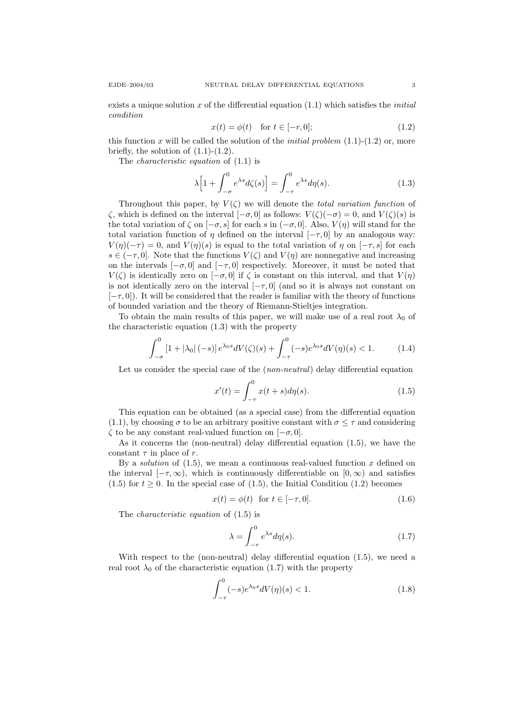exists a unique solution x of the differential equation  $(1.1)$  which satisfies the *initial* condition

$$
x(t) = \phi(t) \quad \text{for } t \in [-r, 0];\tag{1.2}
$$

this function x will be called the solution of the *initial problem*  $(1.1)-(1.2)$  or, more briefly, the solution of  $(1.1)-(1.2)$ .

The characteristic equation of (1.1) is

$$
\lambda \Big[ 1 + \int_{-\sigma}^{0} e^{\lambda s} d\zeta(s) \Big] = \int_{-\tau}^{0} e^{\lambda s} d\eta(s). \tag{1.3}
$$

Throughout this paper, by  $V(\zeta)$  we will denote the *total variation function* of ζ, which is defined on the interval  $[-\sigma, 0]$  as follows:  $V(ζ)(-\sigma) = 0$ , and  $V(ζ)(s)$  is the total variation of  $\zeta$  on  $[-\sigma, s]$  for each s in  $(-\sigma, 0]$ . Also,  $V(\eta)$  will stand for the total variation function of  $\eta$  defined on the interval  $[-\tau, 0]$  by an analogous way:  $V(\eta)(-\tau) = 0$ , and  $V(\eta)(s)$  is equal to the total variation of  $\eta$  on  $[-\tau, s]$  for each  $s \in (-\tau, 0]$ . Note that the functions  $V(\zeta)$  and  $V(\eta)$  are nonnegative and increasing on the intervals  $[-\sigma, 0]$  and  $[-\tau, 0]$  respectively. Moreover, it must be noted that  $V(\zeta)$  is identically zero on  $[-\sigma, 0]$  if  $\zeta$  is constant on this interval, and that  $V(\eta)$ is not identically zero on the interval  $[-\tau, 0]$  (and so it is always not constant on  $[-\tau, 0]$ ). It will be considered that the reader is familiar with the theory of functions of bounded variation and the theory of Riemann-Stieltjes integration.

To obtain the main results of this paper, we will make use of a real root  $\lambda_0$  of the characteristic equation (1.3) with the property

$$
\int_{-\sigma}^{0} \left[1+|\lambda_0|(-s)\right] e^{\lambda_0 s} dV(\zeta)(s) + \int_{-\tau}^{0} (-s) e^{\lambda_0 s} dV(\eta)(s) < 1. \tag{1.4}
$$

Let us consider the special case of the (*non-neutral*) delay differential equation

$$
x'(t) = \int_{-\tau}^{0} x(t+s)d\eta(s).
$$
 (1.5)

This equation can be obtained (as a special case) from the differential equation  $(1.1)$ , by choosing  $\sigma$  to be an arbitrary positive constant with  $\sigma \leq \tau$  and considering  $\zeta$  to be any constant real-valued function on  $[-\sigma, 0]$ .

As it concerns the (non-neutral) delay differential equation (1.5), we have the constant  $\tau$  in place of r.

By a *solution* of  $(1.5)$ , we mean a continuous real-valued function x defined on the interval  $[-\tau,\infty)$ , which is continuously differentiable on  $[0,\infty)$  and satisfies (1.5) for  $t \geq 0$ . In the special case of (1.5), the Initial Condition (1.2) becomes

$$
x(t) = \phi(t) \quad \text{for } t \in [-\tau, 0]. \tag{1.6}
$$

The characteristic equation of (1.5) is

$$
\lambda = \int_{-\tau}^{0} e^{\lambda s} d\eta(s). \tag{1.7}
$$

With respect to the (non-neutral) delay differential equation (1.5), we need a real root  $\lambda_0$  of the characteristic equation (1.7) with the property

$$
\int_{-\tau}^{0} (-s)e^{\lambda_0 s} dV(\eta)(s) < 1. \tag{1.8}
$$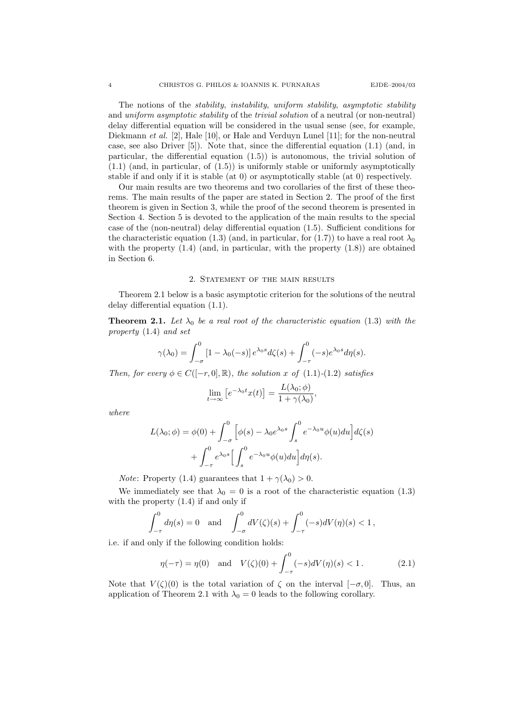The notions of the *stability, instability, uniform stability, asymptotic stability* and *uniform asymptotic stability* of the *trivial solution* of a neutral (or non-neutral) delay differential equation will be considered in the usual sense (see, for example, Diekmann *et al.* [2], Hale [10], or Hale and Verduyn Lunel [11]; for the non-neutral case, see also Driver [5]). Note that, since the differential equation (1.1) (and, in particular, the differential equation (1.5)) is autonomous, the trivial solution of (1.1) (and, in particular, of (1.5)) is uniformly stable or uniformly asymptotically stable if and only if it is stable (at 0) or asymptotically stable (at 0) respectively.

Our main results are two theorems and two corollaries of the first of these theorems. The main results of the paper are stated in Section 2. The proof of the first theorem is given in Section 3, while the proof of the second theorem is presented in Section 4. Section 5 is devoted to the application of the main results to the special case of the (non-neutral) delay differential equation (1.5). Sufficient conditions for the characteristic equation (1.3) (and, in particular, for (1.7)) to have a real root  $\lambda_0$ with the property  $(1.4)$  (and, in particular, with the property  $(1.8)$ ) are obtained in Section 6.

## 2. Statement of the main results

Theorem 2.1 below is a basic asymptotic criterion for the solutions of the neutral delay differential equation (1.1).

**Theorem 2.1.** Let  $\lambda_0$  be a real root of the characteristic equation (1.3) with the property (1.4) and set

$$
\gamma(\lambda_0) = \int_{-\sigma}^0 [1 - \lambda_0(-s)] e^{\lambda_0 s} d\zeta(s) + \int_{-\tau}^0 (-s) e^{\lambda_0 s} d\eta(s).
$$

Then, for every  $\phi \in C([-r, 0], \mathbb{R})$ , the solution x of (1.1)-(1.2) satisfies

$$
\lim_{t \to \infty} \left[ e^{-\lambda_0 t} x(t) \right] = \frac{L(\lambda_0; \phi)}{1 + \gamma(\lambda_0)},
$$

where

$$
L(\lambda_0; \phi) = \phi(0) + \int_{-\sigma}^0 \left[ \phi(s) - \lambda_0 e^{\lambda_0 s} \int_s^0 e^{-\lambda_0 u} \phi(u) du \right] d\zeta(s)
$$

$$
+ \int_{-\tau}^0 e^{\lambda_0 s} \left[ \int_s^0 e^{-\lambda_0 u} \phi(u) du \right] d\eta(s).
$$

*Note*: Property (1.4) guarantees that  $1 + \gamma(\lambda_0) > 0$ .

We immediately see that  $\lambda_0 = 0$  is a root of the characteristic equation (1.3) with the property (1.4) if and only if

$$
\int_{-\tau}^{0} d\eta(s) = 0 \text{ and } \int_{-\sigma}^{0} dV(\zeta)(s) + \int_{-\tau}^{0} (-s) dV(\eta)(s) < 1,
$$

i.e. if and only if the following condition holds:

$$
\eta(-\tau) = \eta(0)
$$
 and  $V(\zeta)(0) + \int_{-\tau}^{0} (-s)dV(\eta)(s) < 1.$  (2.1)

Note that  $V(\zeta)(0)$  is the total variation of  $\zeta$  on the interval  $[-\sigma,0]$ . Thus, an application of Theorem 2.1 with  $\lambda_0 = 0$  leads to the following corollary.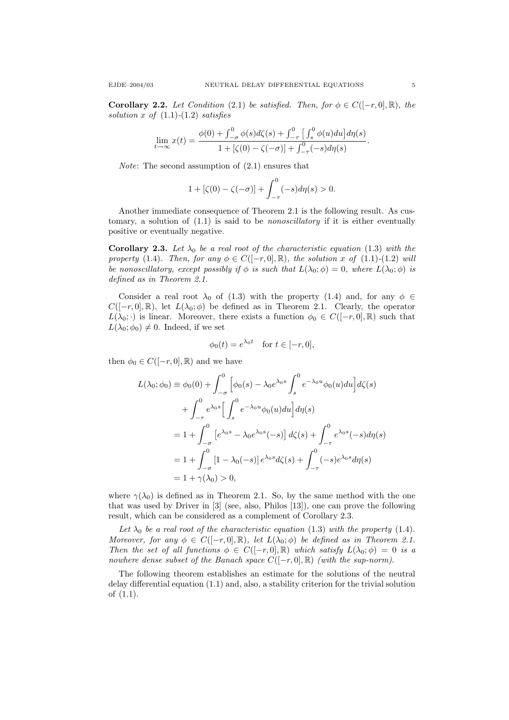**Corollary 2.2.** Let Condition (2.1) be satisfied. Then, for  $\phi \in C([-r, 0], \mathbb{R})$ , the solution x of  $(1.1)-(1.2)$  satisfies

$$
\lim_{t \to \infty} x(t) = \frac{\phi(0) + \int_{-\sigma}^{0} \phi(s) d\zeta(s) + \int_{-\tau}^{0} \left[ \int_{s}^{0} \phi(u) du \right] d\eta(s)}{1 + [\zeta(0) - \zeta(-\sigma)] + \int_{-\tau}^{0} (-s) d\eta(s)}.
$$

Note: The second assumption of (2.1) ensures that

$$
1 + [\zeta(0) - \zeta(-\sigma)] + \int_{-\tau}^{0} (-s) d\eta(s) > 0.
$$

Another immediate consequence of Theorem 2.1 is the following result. As customary, a solution of  $(1.1)$  is said to be *nonoscillatory* if it is either eventually positive or eventually negative.

**Corollary 2.3.** Let  $\lambda_0$  be a real root of the characteristic equation (1.3) with the property (1.4). Then, for any  $\phi \in C([-r, 0], \mathbb{R})$ , the solution x of (1.1)-(1.2) will be nonoscillatory, except possibly if  $\phi$  is such that  $L(\lambda_0; \phi) = 0$ , where  $L(\lambda_0; \phi)$  is defined as in Theorem 2.1.

Consider a real root  $\lambda_0$  of (1.3) with the property (1.4) and, for any  $\phi \in$  $C([-r, 0], \mathbb{R})$ , let  $L(\lambda_0; \phi)$  be defined as in Theorem 2.1. Clearly, the operator  $L(\lambda_0; \cdot)$  is linear. Moreover, there exists a function  $\phi_0 \in C([-r, 0], \mathbb{R})$  such that  $L(\lambda_0; \phi_0) \neq 0$ . Indeed, if we set

$$
\phi_0(t) = e^{\lambda_0 t} \quad \text{for } t \in [-r, 0],
$$

then  $\phi_0 \in C([-r, 0], \mathbb{R})$  and we have

$$
L(\lambda_0; \phi_0) \equiv \phi_0(0) + \int_{-\sigma}^0 \left[ \phi_0(s) - \lambda_0 e^{\lambda_0 s} \int_s^0 e^{-\lambda_0 u} \phi_0(u) du \right] d\zeta(s)
$$
  
+ 
$$
\int_{-\tau}^0 e^{\lambda_0 s} \left[ \int_s^0 e^{-\lambda_0 u} \phi_0(u) du \right] d\eta(s)
$$
  
= 
$$
1 + \int_{-\sigma}^0 \left[ e^{\lambda_0 s} - \lambda_0 e^{\lambda_0 s} (-s) \right] d\zeta(s) + \int_{-\tau}^0 e^{\lambda_0 s} (-s) d\eta(s)
$$
  
= 
$$
1 + \int_{-\sigma}^0 \left[ 1 - \lambda_0(-s) \right] e^{\lambda_0 s} d\zeta(s) + \int_{-\tau}^0 (-s) e^{\lambda_0 s} d\eta(s)
$$
  
= 
$$
1 + \gamma(\lambda_0) > 0,
$$

where  $\gamma(\lambda_0)$  is defined as in Theorem 2.1. So, by the same method with the one that was used by Driver in [3] (see, also, Philos [13]), one can prove the following result, which can be considered as a complement of Corollary 2.3.

Let  $\lambda_0$  be a real root of the characteristic equation (1.3) with the property (1.4). Moreover, for any  $\phi \in C([-r, 0], \mathbb{R})$ , let  $L(\lambda_0; \phi)$  be defined as in Theorem 2.1. Then the set of all functions  $\phi \in C([-r, 0], \mathbb{R})$  which satisfy  $L(\lambda_0; \phi) = 0$  is a nowhere dense subset of the Banach space  $C([-r, 0], \mathbb{R})$  (with the sup-norm).

The following theorem establishes an estimate for the solutions of the neutral delay differential equation (1.1) and, also, a stability criterion for the trivial solution of (1.1).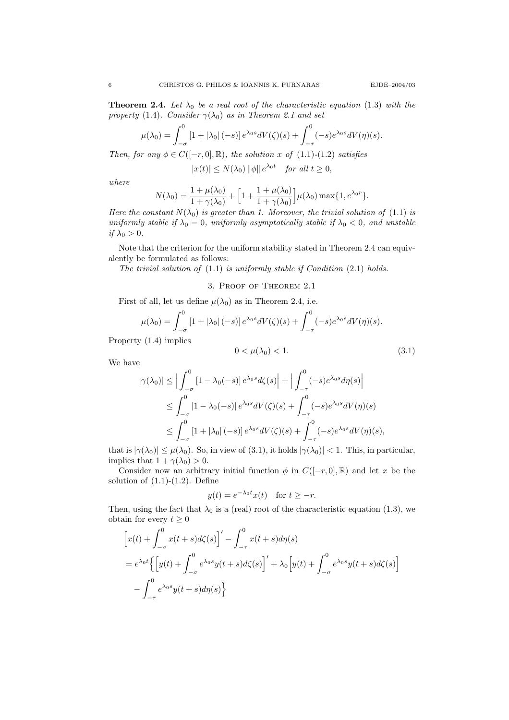**Theorem 2.4.** Let  $\lambda_0$  be a real root of the characteristic equation (1.3) with the property (1.4). Consider  $\gamma(\lambda_0)$  as in Theorem 2.1 and set

$$
\mu(\lambda_0) = \int_{-\sigma}^0 \left[1 + |\lambda_0| \, (-s)\right] e^{\lambda_0 s} dV(\zeta)(s) + \int_{-\tau}^0 (-s) e^{\lambda_0 s} dV(\eta)(s).
$$

Then, for any  $\phi \in C([-r, 0], \mathbb{R})$ , the solution x of (1.1)-(1.2) satisfies

 $|x(t)| \le N(\lambda_0) ||\phi|| e^{\lambda_0 t}$  for all  $t \ge 0$ ,

where

$$
N(\lambda_0) = \frac{1 + \mu(\lambda_0)}{1 + \gamma(\lambda_0)} + \left[1 + \frac{1 + \mu(\lambda_0)}{1 + \gamma(\lambda_0)}\right] \mu(\lambda_0) \max\{1, e^{\lambda_0 r}\}.
$$

Here the constant  $N(\lambda_0)$  is greater than 1. Moreover, the trivial solution of (1.1) is uniformly stable if  $\lambda_0 = 0$ , uniformly asymptotically stable if  $\lambda_0 < 0$ , and unstable if  $\lambda_0 > 0$ .

Note that the criterion for the uniform stability stated in Theorem 2.4 can equivalently be formulated as follows:

The trivial solution of (1.1) is uniformly stable if Condition (2.1) holds.

## 3. Proof of Theorem 2.1

First of all, let us define  $\mu(\lambda_0)$  as in Theorem 2.4, i.e.

$$
\mu(\lambda_0) = \int_{-\sigma}^0 \left[1 + |\lambda_0| \, (-s)\right] e^{\lambda_0 s} dV(\zeta)(s) + \int_{-\tau}^0 (-s) e^{\lambda_0 s} dV(\eta)(s).
$$

Property (1.4) implies

$$
0 < \mu(\lambda_0) < 1. \tag{3.1}
$$

We have

$$
|\gamma(\lambda_0)| \leq \Big| \int_{-\sigma}^0 [1 - \lambda_0(-s)] e^{\lambda_0 s} d\zeta(s) \Big| + \Big| \int_{-\tau}^0 (-s) e^{\lambda_0 s} d\eta(s) \Big|
$$
  
\n
$$
\leq \int_{-\sigma}^0 |1 - \lambda_0(-s)| e^{\lambda_0 s} dV(\zeta)(s) + \int_{-\tau}^0 (-s) e^{\lambda_0 s} dV(\eta)(s)
$$
  
\n
$$
\leq \int_{-\sigma}^0 [1 + |\lambda_0|(-s)] e^{\lambda_0 s} dV(\zeta)(s) + \int_{-\tau}^0 (-s) e^{\lambda_0 s} dV(\eta)(s),
$$

that is  $|\gamma(\lambda_0)| \leq \mu(\lambda_0)$ . So, in view of (3.1), it holds  $|\gamma(\lambda_0)| < 1$ . This, in particular, implies that  $1 + \gamma(\lambda_0) > 0$ .

Consider now an arbitrary initial function  $\phi$  in  $C([-r, 0], \mathbb{R})$  and let x be the solution of  $(1.1)-(1.2)$ . Define

$$
y(t) = e^{-\lambda_0 t} x(t) \quad \text{for } t \ge -r.
$$

Then, using the fact that  $\lambda_0$  is a (real) root of the characteristic equation (1.3), we obtain for every  $t \geq 0$ 

$$
\begin{aligned} & \left[ x(t) + \int_{-\sigma}^{0} x(t+s)d\zeta(s) \right]' - \int_{-\tau}^{0} x(t+s)d\eta(s) \\ & = e^{\lambda_0 t} \left\{ \left[ y(t) + \int_{-\sigma}^{0} e^{\lambda_0 s} y(t+s)d\zeta(s) \right]' + \lambda_0 \left[ y(t) + \int_{-\sigma}^{0} e^{\lambda_0 s} y(t+s)d\zeta(s) \right] \\ & - \int_{-\tau}^{0} e^{\lambda_0 s} y(t+s)d\eta(s) \right\} \end{aligned}
$$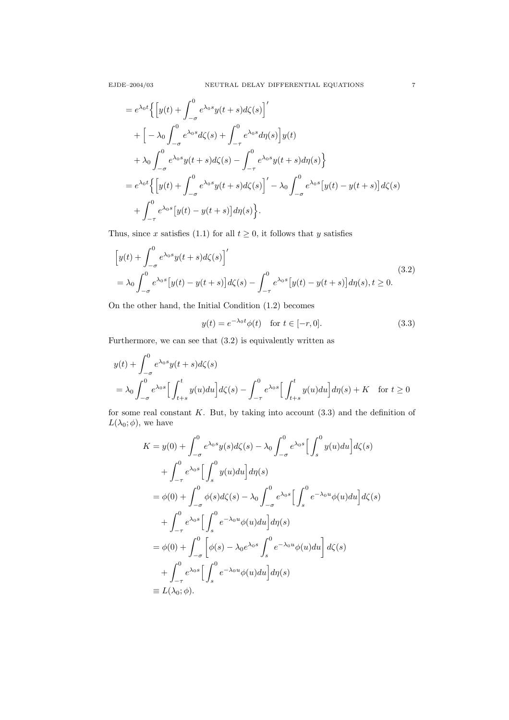$$
= e^{\lambda_0 t} \left\{ \left[ y(t) + \int_{-\sigma}^0 e^{\lambda_0 s} y(t+s) d\zeta(s) \right]' \right.+ \left[ -\lambda_0 \int_{-\sigma}^0 e^{\lambda_0 s} d\zeta(s) + \int_{-\tau}^0 e^{\lambda_0 s} d\eta(s) \right] y(t) + \lambda_0 \int_{-\sigma}^0 e^{\lambda_0 s} y(t+s) d\zeta(s) - \int_{-\tau}^0 e^{\lambda_0 s} y(t+s) d\eta(s) \right\}= e^{\lambda_0 t} \left\{ \left[ y(t) + \int_{-\sigma}^0 e^{\lambda_0 s} y(t+s) d\zeta(s) \right]' - \lambda_0 \int_{-\sigma}^0 e^{\lambda_0 s} \left[ y(t) - y(t+s) \right] d\zeta(s) + \int_{-\tau}^0 e^{\lambda_0 s} \left[ y(t) - y(t+s) \right] d\eta(s) \right\}.
$$

Thus, since x satisfies (1.1) for all  $t \geq 0$ , it follows that y satisfies

$$
\left[y(t) + \int_{-\sigma}^{0} e^{\lambda_0 s} y(t+s) d\zeta(s)\right]'
$$
  
=  $\lambda_0 \int_{-\sigma}^{0} e^{\lambda_0 s} \left[y(t) - y(t+s)\right] d\zeta(s) - \int_{-\tau}^{0} e^{\lambda_0 s} \left[y(t) - y(t+s)\right] d\eta(s), t \ge 0.$  (3.2)

On the other hand, the Initial Condition (1.2) becomes

$$
y(t) = e^{-\lambda_0 t} \phi(t) \quad \text{for } t \in [-r, 0].
$$
 (3.3)

Furthermore, we can see that (3.2) is equivalently written as

$$
y(t) + \int_{-\sigma}^{0} e^{\lambda_0 s} y(t+s) d\zeta(s)
$$
  
=  $\lambda_0 \int_{-\sigma}^{0} e^{\lambda_0 s} \Big[ \int_{t+s}^{t} y(u) du \Big] d\zeta(s) - \int_{-\tau}^{0} e^{\lambda_0 s} \Big[ \int_{t+s}^{t} y(u) du \Big] d\eta(s) + K \quad \text{for } t \ge 0$ 

for some real constant  $K$ . But, by taking into account  $(3.3)$  and the definition of  $L(\lambda_0; \phi)$ , we have

$$
K = y(0) + \int_{-\sigma}^{0} e^{\lambda_0 s} y(s) d\zeta(s) - \lambda_0 \int_{-\sigma}^{0} e^{\lambda_0 s} \Big[ \int_{s}^{0} y(u) du \Big] d\zeta(s)
$$
  
+ 
$$
\int_{-\tau}^{0} e^{\lambda_0 s} \Big[ \int_{s}^{0} y(u) du \Big] d\eta(s)
$$
  
= 
$$
\phi(0) + \int_{-\sigma}^{0} \phi(s) d\zeta(s) - \lambda_0 \int_{-\sigma}^{0} e^{\lambda_0 s} \Big[ \int_{s}^{0} e^{-\lambda_0 u} \phi(u) du \Big] d\zeta(s)
$$
  
+ 
$$
\int_{-\tau}^{0} e^{\lambda_0 s} \Big[ \int_{s}^{0} e^{-\lambda_0 u} \phi(u) du \Big] d\eta(s)
$$
  
= 
$$
\phi(0) + \int_{-\sigma}^{0} \Big[ \phi(s) - \lambda_0 e^{\lambda_0 s} \int_{s}^{0} e^{-\lambda_0 u} \phi(u) du \Big] d\zeta(s)
$$
  
+ 
$$
\int_{-\tau}^{0} e^{\lambda_0 s} \Big[ \int_{s}^{0} e^{-\lambda_0 u} \phi(u) du \Big] d\eta(s)
$$
  
\equiv 
$$
L(\lambda_0; \phi).
$$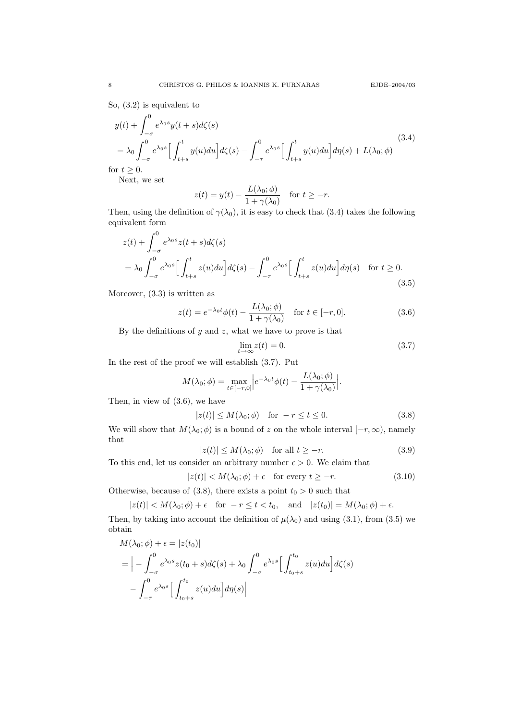So, (3.2) is equivalent to

$$
y(t) + \int_{-\sigma}^{0} e^{\lambda_0 s} y(t+s) d\zeta(s)
$$
  
=  $\lambda_0 \int_{-\sigma}^{0} e^{\lambda_0 s} \left[ \int_{t+s}^{t} y(u) du \right] d\zeta(s) - \int_{-\tau}^{0} e^{\lambda_0 s} \left[ \int_{t+s}^{t} y(u) du \right] d\eta(s) + L(\lambda_0; \phi)$   
for  $t \ge 0$ . (3.4)

Next, we set

$$
z(t) = y(t) - \frac{L(\lambda_0; \phi)}{1 + \gamma(\lambda_0)} \quad \text{for } t \ge -r.
$$

Then, using the definition of  $\gamma(\lambda_0)$ , it is easy to check that (3.4) takes the following equivalent form

$$
z(t) + \int_{-\sigma}^{0} e^{\lambda_0 s} z(t+s) d\zeta(s)
$$
  
=  $\lambda_0 \int_{-\sigma}^{0} e^{\lambda_0 s} \Big[ \int_{t+s}^{t} z(u) du \Big] d\zeta(s) - \int_{-\tau}^{0} e^{\lambda_0 s} \Big[ \int_{t+s}^{t} z(u) du \Big] d\eta(s) \quad \text{for } t \ge 0.$  (3.5)

Moreover, (3.3) is written as

$$
z(t) = e^{-\lambda_0 t} \phi(t) - \frac{L(\lambda_0; \phi)}{1 + \gamma(\lambda_0)} \quad \text{for } t \in [-r, 0].
$$
 (3.6)

By the definitions of  $y$  and  $z$ , what we have to prove is that

$$
\lim_{t \to \infty} z(t) = 0. \tag{3.7}
$$

In the rest of the proof we will establish (3.7). Put

$$
M(\lambda_0; \phi) = \max_{t \in [-r, 0]} \left| e^{-\lambda_0 t} \phi(t) - \frac{L(\lambda_0; \phi)}{1 + \gamma(\lambda_0)} \right|.
$$

Then, in view of (3.6), we have

$$
|z(t)| \le M(\lambda_0; \phi) \quad \text{for } -r \le t \le 0. \tag{3.8}
$$

We will show that  $M(\lambda_0; \phi)$  is a bound of z on the whole interval  $[-r, \infty)$ , namely that

$$
|z(t)| \le M(\lambda_0; \phi) \quad \text{for all } t \ge -r. \tag{3.9}
$$

To this end, let us consider an arbitrary number  $\epsilon > 0$ . We claim that

$$
|z(t)| < M(\lambda_0; \phi) + \epsilon \quad \text{for every } t \ge -r. \tag{3.10}
$$

Otherwise, because of (3.8), there exists a point  $t_0 > 0$  such that

$$
|z(t)| < M(\lambda_0; \phi) + \epsilon \quad \text{for } -r \le t < t_0, \quad \text{and} \quad |z(t_0)| = M(\lambda_0; \phi) + \epsilon.
$$

Then, by taking into account the definition of  $\mu(\lambda_0)$  and using (3.1), from (3.5) we obtain

$$
M(\lambda_0; \phi) + \epsilon = |z(t_0)|
$$
  
=  $\left| - \int_{-\sigma}^{0} e^{\lambda_0 s} z(t_0 + s) d\zeta(s) + \lambda_0 \int_{-\sigma}^{0} e^{\lambda_0 s} \left[ \int_{t_0 + s}^{t_0} z(u) du \right] d\zeta(s) - \int_{-\tau}^{0} e^{\lambda_0 s} \left[ \int_{t_0 + s}^{t_0} z(u) du \right] d\eta(s) \right|$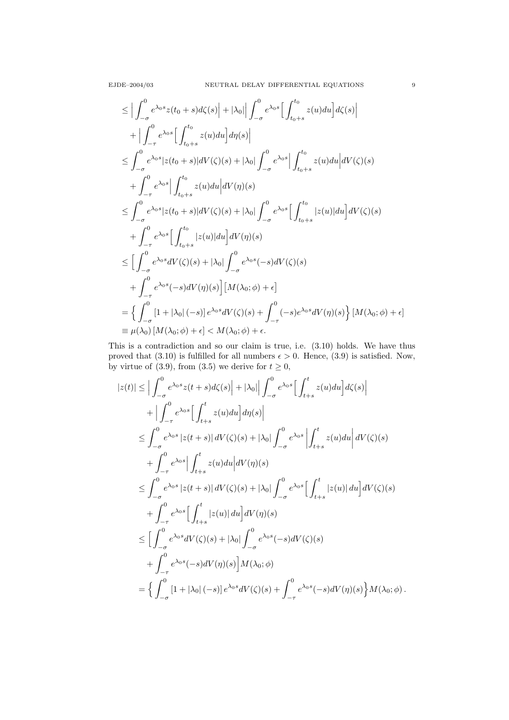$$
\leq \Big|\int_{-\sigma}^{0} e^{\lambda_{0}s}z(t_{0}+s)d\zeta(s)\Big| + |\lambda_{0}|\Big| \int_{-\sigma}^{0} e^{\lambda_{0}s}\Big[\int_{t_{0}+s}^{t_{0}} z(u)du\Big] d\zeta(s)\Big| \n+ \Big|\int_{-\tau}^{0} e^{\lambda_{0}s}\Big[\int_{t_{0}+s}^{t_{0}} z(u)du\Big] d\eta(s)\Big| \n\leq \int_{-\sigma}^{0} e^{\lambda_{0}s}|z(t_{0}+s)|dV(\zeta)(s) + |\lambda_{0}|\int_{-\sigma}^{0} e^{\lambda_{0}s}\Big|\int_{t_{0}+s}^{t_{0}} z(u)du\Big| dV(\zeta)(s) \n+ \int_{-\tau}^{0} e^{\lambda_{0}s}\Big|\int_{t_{0}+s}^{t_{0}} z(u)du\Big| dV(\eta)(s) \n\leq \int_{-\sigma}^{0} e^{\lambda_{0}s}|z(t_{0}+s)|dV(\zeta)(s) + |\lambda_{0}|\int_{-\sigma}^{0} e^{\lambda_{0}s}\Big[\int_{t_{0}+s}^{t_{0}} |z(u)|du\Big] dV(\zeta)(s) \n+ \int_{-\tau}^{0} e^{\lambda_{0}s}\Big[\int_{t_{0}+s}^{t_{0}} |z(u)|du\Big] dV(\eta)(s) \n\leq \Big[\int_{-\sigma}^{0} e^{\lambda_{0}s}dV(\zeta)(s) + |\lambda_{0}|\int_{-\sigma}^{0} e^{\lambda_{0}s}(-s)dV(\zeta)(s) \n+ \int_{-\tau}^{0} e^{\lambda_{0}s}(-s)dV(\eta)(s)\Big][M(\lambda_{0};\phi) + \epsilon]\n= \left\{\int_{-\sigma}^{0} [1 + |\lambda_{0}|(-s)]e^{\lambda_{0}s}dV(\zeta)(s) + \int_{-\tau}^{0} (-s)e^{\lambda_{0}s}dV(\eta)(s)\right][M(\lambda_{0};\phi) + \epsilon]\n\equiv \mu(\lambda_{0})[M(\lambda_{0};\phi) + \epsilon] < M(\lambda_{0};\phi) + \epsilon.
$$

This is a contradiction and so our claim is true, i.e. (3.10) holds. We have thus proved that (3.10) is fulfilled for all numbers  $\epsilon > 0$ . Hence, (3.9) is satisfied. Now, by virtue of (3.9), from (3.5) we derive for  $t \ge 0$ ,

$$
|z(t)| \leq \Big| \int_{-\sigma}^{0} e^{\lambda_0 s} z(t+s) d\zeta(s) \Big| + |\lambda_0| \Big| \int_{-\sigma}^{0} e^{\lambda_0 s} \Big[ \int_{t+s}^{t} z(u) du \Big] d\zeta(s) \Big| + \Big| \int_{-\tau}^{0} e^{\lambda_0 s} \Big[ \int_{t+s}^{t} z(u) du \Big] d\eta(s) \Big| \leq \int_{-\sigma}^{0} e^{\lambda_0 s} |z(t+s)| dV(\zeta)(s) + |\lambda_0| \int_{-\sigma}^{0} e^{\lambda_0 s} \Big| \int_{t+s}^{t} z(u) du \Big| dV(\zeta)(s) + \int_{-\tau}^{0} e^{\lambda_0 s} \Big| \int_{t+s}^{t} z(u) du \Big| dV(\eta)(s) \leq \int_{-\sigma}^{0} e^{\lambda_0 s} |z(t+s)| dV(\zeta)(s) + |\lambda_0| \int_{-\sigma}^{0} e^{\lambda_0 s} \Big[ \int_{t+s}^{t} |z(u)| du \Big] dV(\zeta)(s) + \int_{-\tau}^{0} e^{\lambda_0 s} \Big[ \int_{t+s}^{t} |z(u)| du \Big] dV(\eta)(s) \leq \Big[ \int_{-\sigma}^{0} e^{\lambda_0 s} dV(\zeta)(s) + |\lambda_0| \int_{-\sigma}^{0} e^{\lambda_0 s} (-s) dV(\zeta)(s) + \int_{-\tau}^{0} e^{\lambda_0 s} (-s) dV(\eta)(s) \Big] M(\lambda_0; \phi) = \Big\{ \int_{-\sigma}^{0} [1 + |\lambda_0| (-s)] e^{\lambda_0 s} dV(\zeta)(s) + \int_{-\tau}^{0} e^{\lambda_0 s} (-s) dV(\eta)(s) \Big\} M(\lambda_0; \phi) .
$$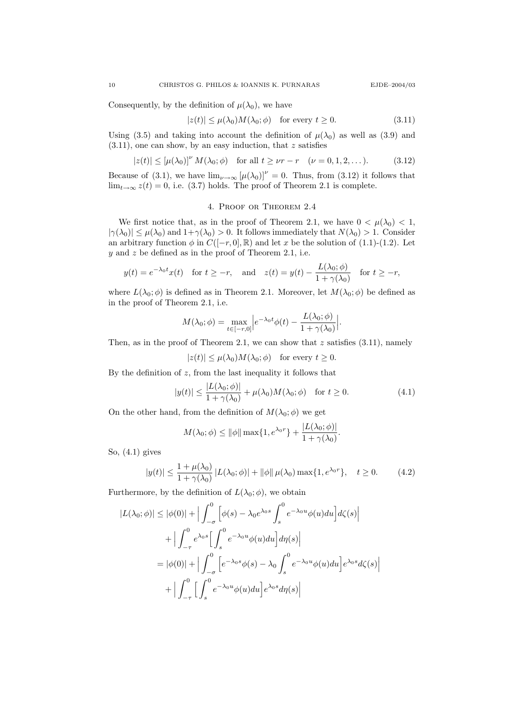Consequently, by the definition of  $\mu(\lambda_0)$ , we have

$$
|z(t)| \le \mu(\lambda_0) M(\lambda_0; \phi) \quad \text{for every } t \ge 0. \tag{3.11}
$$

Using (3.5) and taking into account the definition of  $\mu(\lambda_0)$  as well as (3.9) and  $(3.11)$ , one can show, by an easy induction, that z satisfies

$$
|z(t)| \leq [\mu(\lambda_0)]^{\nu} M(\lambda_0; \phi) \quad \text{for all } t \geq \nu r - r \quad (\nu = 0, 1, 2, ...). \tag{3.12}
$$

Because of (3.1), we have  $\lim_{\nu\to\infty} [\mu(\lambda_0)]^{\nu} = 0$ . Thus, from (3.12) it follows that  $\lim_{t\to\infty} z(t) = 0$ , i.e. (3.7) holds. The proof of Theorem 2.1 is complete.

## 4. Proof or Theorem 2.4

We first notice that, as in the proof of Theorem 2.1, we have  $0 < \mu(\lambda_0) < 1$ ,  $|\gamma(\lambda_0)| \leq \mu(\lambda_0)$  and  $1+\gamma(\lambda_0) > 0$ . It follows immediately that  $N(\lambda_0) > 1$ . Consider an arbitrary function  $\phi$  in  $C([-r, 0], \mathbb{R})$  and let x be the solution of (1.1)-(1.2). Let  $y$  and  $z$  be defined as in the proof of Theorem 2.1, i.e.

$$
y(t) = e^{-\lambda_0 t} x(t)
$$
 for  $t \ge -r$ , and  $z(t) = y(t) - \frac{L(\lambda_0; \phi)}{1 + \gamma(\lambda_0)}$  for  $t \ge -r$ ,

where  $L(\lambda_0; \phi)$  is defined as in Theorem 2.1. Moreover, let  $M(\lambda_0; \phi)$  be defined as in the proof of Theorem 2.1, i.e.

$$
M(\lambda_0; \phi) = \max_{t \in [-r, 0]} \Big| e^{-\lambda_0 t} \phi(t) - \frac{L(\lambda_0; \phi)}{1 + \gamma(\lambda_0)} \Big|.
$$

Then, as in the proof of Theorem 2.1, we can show that  $z$  satisfies  $(3.11)$ , namely

$$
|z(t)| \le \mu(\lambda_0) M(\lambda_0; \phi) \quad \text{for every } t \ge 0.
$$

By the definition of  $z$ , from the last inequality it follows that

$$
|y(t)| \le \frac{|L(\lambda_0; \phi)|}{1 + \gamma(\lambda_0)} + \mu(\lambda_0)M(\lambda_0; \phi) \quad \text{for } t \ge 0.
$$
 (4.1)

On the other hand, from the definition of  $M(\lambda_0; \phi)$  we get

$$
M(\lambda_0; \phi) \le ||\phi|| \max\{1, e^{\lambda_0 r}\} + \frac{|L(\lambda_0; \phi)|}{1 + \gamma(\lambda_0)}.
$$

So, (4.1) gives

$$
|y(t)| \le \frac{1 + \mu(\lambda_0)}{1 + \gamma(\lambda_0)} |L(\lambda_0; \phi)| + ||\phi|| \mu(\lambda_0) \max\{1, e^{\lambda_0 r}\}, \quad t \ge 0.
$$
 (4.2)

Furthermore, by the definition of  $L(\lambda_0; \phi)$ , we obtain

$$
|L(\lambda_0; \phi)| \leq |\phi(0)| + \Big| \int_{-\sigma}^{0} \Big[ \phi(s) - \lambda_0 e^{\lambda_0 s} \int_{s}^{0} e^{-\lambda_0 u} \phi(u) du \Big] d\zeta(s) \Big|
$$
  
+ 
$$
\Big| \int_{-\tau}^{0} e^{\lambda_0 s} \Big[ \int_{s}^{0} e^{-\lambda_0 u} \phi(u) du \Big] d\eta(s) \Big|
$$
  
= 
$$
|\phi(0)| + \Big| \int_{-\sigma}^{0} \Big[ e^{-\lambda_0 s} \phi(s) - \lambda_0 \int_{s}^{0} e^{-\lambda_0 u} \phi(u) du \Big] e^{\lambda_0 s} d\zeta(s) \Big|
$$
  
+ 
$$
\Big| \int_{-\tau}^{0} \Big[ \int_{s}^{0} e^{-\lambda_0 u} \phi(u) du \Big] e^{\lambda_0 s} d\eta(s) \Big|
$$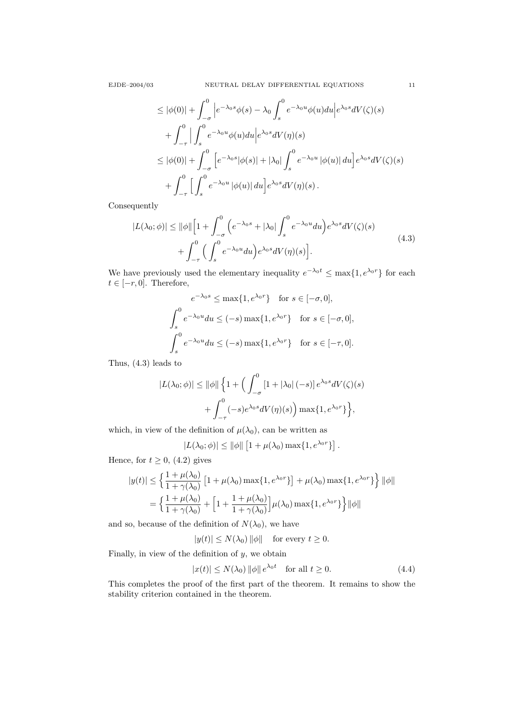$$
\leq |\phi(0)| + \int_{-\sigma}^{0} \left| e^{-\lambda_0 s} \phi(s) - \lambda_0 \int_s^0 e^{-\lambda_0 u} \phi(u) du \right| e^{\lambda_0 s} dV(\zeta)(s)
$$
  
+ 
$$
\int_{-\tau}^{0} \left| \int_s^0 e^{-\lambda_0 u} \phi(u) du \right| e^{\lambda_0 s} dV(\eta)(s)
$$
  

$$
\leq |\phi(0)| + \int_{-\sigma}^{0} \left[ e^{-\lambda_0 s} |\phi(s)| + |\lambda_0| \int_s^0 e^{-\lambda_0 u} |\phi(u)| du \right] e^{\lambda_0 s} dV(\zeta)(s)
$$
  
+ 
$$
\int_{-\tau}^{0} \left[ \int_s^0 e^{-\lambda_0 u} |\phi(u)| du \right] e^{\lambda_0 s} dV(\eta)(s).
$$

Consequently

$$
|L(\lambda_0; \phi)| \le ||\phi|| \Big[ 1 + \int_{-\sigma}^0 \left( e^{-\lambda_0 s} + |\lambda_0| \int_s^0 e^{-\lambda_0 u} du \right) e^{\lambda_0 s} dV(\zeta)(s) + \int_{-\tau}^0 \left( \int_s^0 e^{-\lambda_0 u} du \right) e^{\lambda_0 s} dV(\eta)(s) \Big].
$$
 (4.3)

We have previously used the elementary inequality  $e^{-\lambda_0 t} \leq \max\{1, e^{\lambda_0 r}\}\)$  for each  $t \in [-r, 0]$ . Therefore,

$$
e^{-\lambda_0 s} \le \max\{1, e^{\lambda_0 r}\} \text{ for } s \in [-\sigma, 0],
$$
  

$$
\int_s^0 e^{-\lambda_0 u} du \le (-s) \max\{1, e^{\lambda_0 r}\} \text{ for } s \in [-\sigma, 0],
$$
  

$$
\int_s^0 e^{-\lambda_0 u} du \le (-s) \max\{1, e^{\lambda_0 r}\} \text{ for } s \in [-\tau, 0].
$$

Thus, (4.3) leads to

$$
|L(\lambda_0; \phi)| \le ||\phi|| \left\{ 1 + \left( \int_{-\sigma}^0 [1 + |\lambda_0| \, (-s)] \, e^{\lambda_0 s} dV(\zeta)(s) \right. \right.+ \int_{-\tau}^0 (-s) e^{\lambda_0 s} dV(\eta)(s) \right\} \max\{1, e^{\lambda_0 r}\} \Big\},
$$

which, in view of the definition of  $\mu(\lambda_0)$ , can be written as

$$
|L(\lambda_0; \phi)| \le ||\phi|| \left[1 + \mu(\lambda_0) \max\{1, e^{\lambda_0 r}\}\right].
$$

Hence, for  $t \geq 0$ , (4.2) gives

$$
|y(t)| \le \left\{ \frac{1 + \mu(\lambda_0)}{1 + \gamma(\lambda_0)} \left[ 1 + \mu(\lambda_0) \max\{1, e^{\lambda_0 r}\} \right] + \mu(\lambda_0) \max\{1, e^{\lambda_0 r}\} \right\} ||\phi||
$$
  
= 
$$
\left\{ \frac{1 + \mu(\lambda_0)}{1 + \gamma(\lambda_0)} + \left[ 1 + \frac{1 + \mu(\lambda_0)}{1 + \gamma(\lambda_0)} \right] \mu(\lambda_0) \max\{1, e^{\lambda_0 r}\} \right\} ||\phi||
$$

and so, because of the definition of  $N(\lambda_0)$ , we have

$$
|y(t)| \le N(\lambda_0) ||\phi|| \quad \text{for every } t \ge 0.
$$

Finally, in view of the definition of  $y$ , we obtain

$$
|x(t)| \le N(\lambda_0) ||\phi|| e^{\lambda_0 t} \quad \text{for all } t \ge 0.
$$
 (4.4)

This completes the proof of the first part of the theorem. It remains to show the stability criterion contained in the theorem.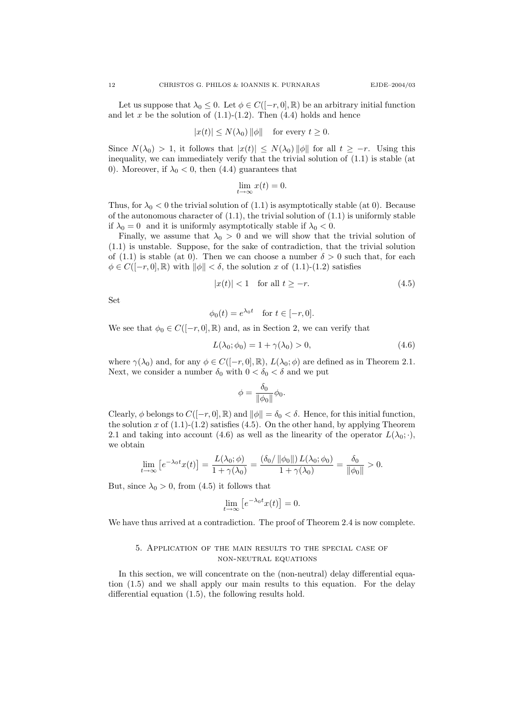Let us suppose that  $\lambda_0 \leq 0$ . Let  $\phi \in C([-r, 0], \mathbb{R})$  be an arbitrary initial function and let x be the solution of  $(1.1)-(1.2)$ . Then  $(4.4)$  holds and hence

$$
|x(t)| \le N(\lambda_0) ||\phi|| \quad \text{for every } t \ge 0.
$$

Since  $N(\lambda_0) > 1$ , it follows that  $|x(t)| \leq N(\lambda_0) ||\phi||$  for all  $t \geq -r$ . Using this inequality, we can immediately verify that the trivial solution of (1.1) is stable (at 0). Moreover, if  $\lambda_0 < 0$ , then (4.4) guarantees that

$$
\lim_{t \to \infty} x(t) = 0.
$$

Thus, for  $\lambda_0 < 0$  the trivial solution of (1.1) is asymptotically stable (at 0). Because of the autonomous character of  $(1.1)$ , the trivial solution of  $(1.1)$  is uniformly stable if  $\lambda_0 = 0$  and it is uniformly asymptotically stable if  $\lambda_0 < 0$ .

Finally, we assume that  $\lambda_0 > 0$  and we will show that the trivial solution of (1.1) is unstable. Suppose, for the sake of contradiction, that the trivial solution of (1.1) is stable (at 0). Then we can choose a number  $\delta > 0$  such that, for each  $\phi \in C([-r, 0], \mathbb{R})$  with  $\|\phi\| < \delta$ , the solution x of (1.1)-(1.2) satisfies

$$
|x(t)| < 1 \quad \text{for all } t \ge -r. \tag{4.5}
$$

Set

$$
\phi_0(t) = e^{\lambda_0 t} \quad \text{for } t \in [-r, 0].
$$

We see that  $\phi_0 \in C([-r, 0], \mathbb{R})$  and, as in Section 2, we can verify that

$$
L(\lambda_0; \phi_0) = 1 + \gamma(\lambda_0) > 0,\tag{4.6}
$$

where  $\gamma(\lambda_0)$  and, for any  $\phi \in C([-r, 0], \mathbb{R})$ ,  $L(\lambda_0; \phi)$  are defined as in Theorem 2.1. Next, we consider a number  $\delta_0$  with  $0 < \delta_0 < \delta$  and we put

$$
\phi = \frac{\delta_0}{\|\phi_0\|} \phi_0.
$$

Clearly,  $\phi$  belongs to  $C([-r, 0], \mathbb{R})$  and  $\|\phi\| = \delta_0 < \delta$ . Hence, for this initial function, the solution x of  $(1.1)-(1.2)$  satisfies  $(4.5)$ . On the other hand, by applying Theorem 2.1 and taking into account (4.6) as well as the linearity of the operator  $L(\lambda_0;\cdot)$ , we obtain

$$
\lim_{t \to \infty} \left[ e^{-\lambda_0 t} x(t) \right] = \frac{L(\lambda_0; \phi)}{1 + \gamma(\lambda_0)} = \frac{(\delta_0 / \|\phi_0\|) L(\lambda_0; \phi_0)}{1 + \gamma(\lambda_0)} = \frac{\delta_0}{\|\phi_0\|} > 0.
$$

But, since  $\lambda_0 > 0$ , from (4.5) it follows that

$$
\lim_{t \to \infty} \left[ e^{-\lambda_0 t} x(t) \right] = 0.
$$

We have thus arrived at a contradiction. The proof of Theorem 2.4 is now complete.

#### 5. Application of the main results to the special case of non-neutral equations

In this section, we will concentrate on the (non-neutral) delay differential equation (1.5) and we shall apply our main results to this equation. For the delay differential equation (1.5), the following results hold.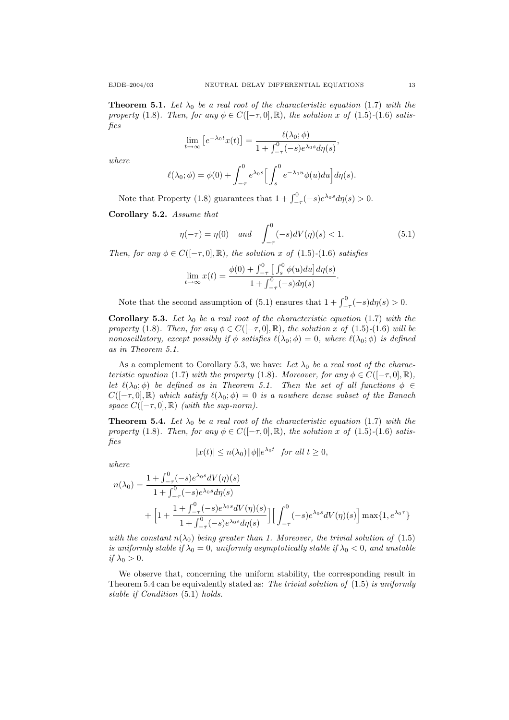**Theorem 5.1.** Let  $\lambda_0$  be a real root of the characteristic equation (1.7) with the property (1.8). Then, for any  $\phi \in C([-\tau,0], \mathbb{R})$ , the solution x of (1.5)-(1.6) satisfies

$$
\lim_{t \to \infty} \left[ e^{-\lambda_0 t} x(t) \right] = \frac{\ell(\lambda_0; \phi)}{1 + \int_{-\tau}^0 (-s) e^{\lambda_0 s} d\eta(s)},
$$

where

$$
\ell(\lambda_0; \phi) = \phi(0) + \int_{-\tau}^0 e^{\lambda_0 s} \left[ \int_s^0 e^{-\lambda_0 u} \phi(u) du \right] d\eta(s).
$$

Note that Property (1.8) guarantees that  $1 + \int_{-\tau}^{0} (-s)e^{\lambda_0 s} d\eta(s) > 0$ .

Corollary 5.2. Assume that

$$
\eta(-\tau) = \eta(0) \quad \text{and} \quad \int_{-\tau}^{0} (-s)dV(\eta)(s) < 1. \tag{5.1}
$$

.

Then, for any  $\phi \in C([-\tau,0], \mathbb{R})$ , the solution x of (1.5)-(1.6) satisfies

$$
\lim_{t \to \infty} x(t) = \frac{\phi(0) + \int_{-\tau}^{0} \left[ \int_{s}^{0} \phi(u) du \right] d\eta(s)}{1 + \int_{-\tau}^{0} (-s) d\eta(s)}
$$

Note that the second assumption of (5.1) ensures that  $1 + \int_{-\tau}^{0} (-s) d\eta(s) > 0$ .

**Corollary 5.3.** Let  $\lambda_0$  be a real root of the characteristic equation (1.7) with the property (1.8). Then, for any  $\phi \in C([-\tau,0], \mathbb{R})$ , the solution x of (1.5)-(1.6) will be nonoscillatory, except possibly if  $\phi$  satisfies  $\ell(\lambda_0; \phi) = 0$ , where  $\ell(\lambda_0; \phi)$  is defined as in Theorem 5.1.

As a complement to Corollary 5.3, we have: Let  $\lambda_0$  be a real root of the characteristic equation (1.7) with the property (1.8). Moreover, for any  $\phi \in C([-\tau,0], \mathbb{R})$ , let  $\ell(\lambda_0; \phi)$  be defined as in Theorem 5.1. Then the set of all functions  $\phi \in$  $C([- \tau, 0], \mathbb{R})$  which satisfy  $\ell(\lambda_0; \phi) = 0$  is a nowhere dense subset of the Banach space  $C([-\tau,0],\mathbb{R})$  (with the sup-norm).

**Theorem 5.4.** Let  $\lambda_0$  be a real root of the characteristic equation (1.7) with the property (1.8). Then, for any  $\phi \in C([-\tau,0], \mathbb{R})$ , the solution x of (1.5)-(1.6) satisfies

$$
|x(t)| \le n(\lambda_0) ||\phi|| e^{\lambda_0 t} \text{ for all } t \ge 0,
$$

where

$$
n(\lambda_0) = \frac{1 + \int_{-\tau}^0 (-s)e^{\lambda_0 s} dV(\eta)(s)}{1 + \int_{-\tau}^0 (-s)e^{\lambda_0 s} d\eta(s)} + \left[1 + \frac{1 + \int_{-\tau}^0 (-s)e^{\lambda_0 s} dV(\eta)(s)}{1 + \int_{-\tau}^0 (-s)e^{\lambda_0 s} d\eta(s)}\right] \left[\int_{-\tau}^0 (-s)e^{\lambda_0 s} dV(\eta)(s)\right] \max\{1, e^{\lambda_0 \tau}\}
$$

with the constant  $n(\lambda_0)$  being greater than 1. Moreover, the trivial solution of (1.5) is uniformly stable if  $\lambda_0 = 0$ , uniformly asymptotically stable if  $\lambda_0 < 0$ , and unstable if  $\lambda_0 > 0$ .

We observe that, concerning the uniform stability, the corresponding result in Theorem 5.4 can be equivalently stated as: The trivial solution of  $(1.5)$  is uniformly stable if Condition (5.1) holds.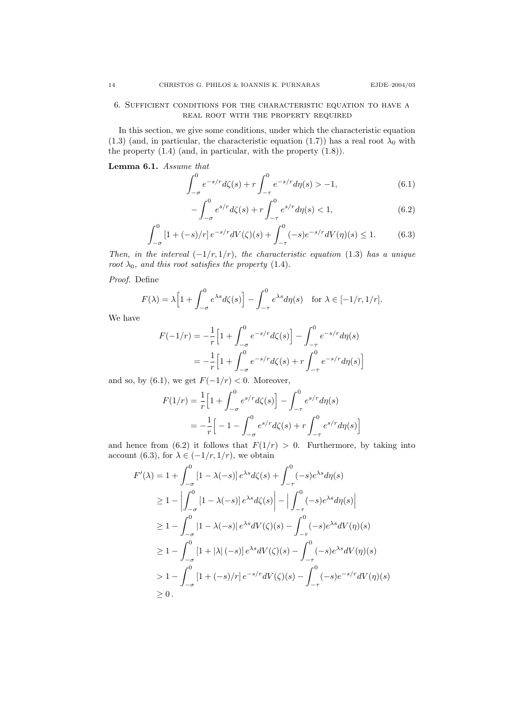### 6. Sufficient conditions for the characteristic equation to have a REAL ROOT WITH THE PROPERTY REQUIRED

In this section, we give some conditions, under which the characteristic equation (1.3) (and, in particular, the characteristic equation (1.7)) has a real root  $\lambda_0$  with the property (1.4) (and, in particular, with the property (1.8)).

Lemma 6.1. Assume that

$$
\int_{-\sigma}^{0} e^{-s/r} d\zeta(s) + r \int_{-\tau}^{0} e^{-s/r} d\eta(s) > -1,\tag{6.1}
$$

$$
-\int_{-\sigma}^{0} e^{s/r} d\zeta(s) + r \int_{-\tau}^{0} e^{s/r} d\eta(s) < 1,\tag{6.2}
$$

$$
\int_{-\sigma}^{0} \left[1 + (-s)/r\right] e^{-s/r} dV(\zeta)(s) + \int_{-\tau}^{0} (-s) e^{-s/r} dV(\eta)(s) \le 1.
$$
 (6.3)

Then, in the interval  $(-1/r, 1/r)$ , the characteristic equation (1.3) has a unique root  $\lambda_0$ , and this root satisfies the property (1.4).

Proof. Define

$$
F(\lambda) = \lambda \Big[ 1 + \int_{-\sigma}^{0} e^{\lambda s} d\zeta(s) \Big] - \int_{-\tau}^{0} e^{\lambda s} d\eta(s) \quad \text{for } \lambda \in [-1/r, 1/r].
$$

We have

$$
F(-1/r) = -\frac{1}{r} \Big[ 1 + \int_{-\sigma}^{0} e^{-s/r} d\zeta(s) \Big] - \int_{-\tau}^{0} e^{-s/r} d\eta(s)
$$
  
=  $-\frac{1}{r} \Big[ 1 + \int_{-\sigma}^{0} e^{-s/r} d\zeta(s) + r \int_{-\tau}^{0} e^{-s/r} d\eta(s) \Big]$ 

and so, by (6.1), we get  $F(-1/r) < 0$ . Moreover,

$$
F(1/r) = \frac{1}{r} \Big[ 1 + \int_{-\sigma}^{0} e^{s/r} d\zeta(s) \Big] - \int_{-\tau}^{0} e^{s/r} d\eta(s)
$$
  
=  $-\frac{1}{r} \Big[ -1 - \int_{-\sigma}^{0} e^{s/r} d\zeta(s) + r \int_{-\tau}^{0} e^{s/r} d\eta(s) \Big]$ 

and hence from (6.2) it follows that  $F(1/r) > 0$ . Furthermore, by taking into account (6.3), for  $\lambda \in (-1/r, 1/r)$ , we obtain

$$
F'(\lambda) = 1 + \int_{-\sigma}^{0} [1 - \lambda(-s)] e^{\lambda s} d\zeta(s) + \int_{-\tau}^{0} (-s) e^{\lambda s} d\eta(s)
$$
  
\n
$$
\geq 1 - \left| \int_{-\sigma}^{0} [1 - \lambda(-s)] e^{\lambda s} d\zeta(s) \right| - \left| \int_{-\tau}^{0} (-s) e^{\lambda s} d\eta(s) \right|
$$
  
\n
$$
\geq 1 - \int_{-\sigma}^{0} |1 - \lambda(-s)| e^{\lambda s} dV(\zeta)(s) - \int_{-\tau}^{0} (-s) e^{\lambda s} dV(\eta)(s)
$$
  
\n
$$
\geq 1 - \int_{-\sigma}^{0} [1 + |\lambda|(-s)] e^{\lambda s} dV(\zeta)(s) - \int_{-\tau}^{0} (-s) e^{\lambda s} dV(\eta)(s)
$$
  
\n
$$
> 1 - \int_{-\sigma}^{0} [1 + (-s)/r] e^{-s/r} dV(\zeta)(s) - \int_{-\tau}^{0} (-s) e^{-s/r} dV(\eta)(s)
$$
  
\n
$$
\geq 0.
$$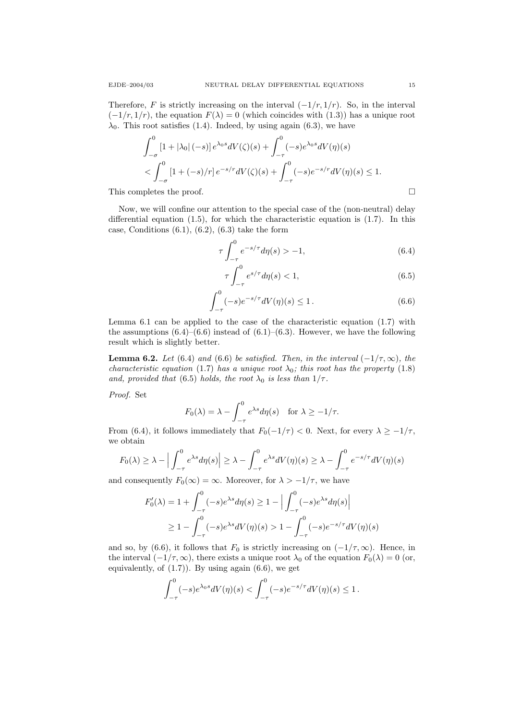Therefore, F is strictly increasing on the interval  $(-1/r, 1/r)$ . So, in the interval  $(-1/r, 1/r)$ , the equation  $F(\lambda) = 0$  (which coincides with (1.3)) has a unique root  $\lambda_0$ . This root satisfies (1.4). Indeed, by using again (6.3), we have

$$
\int_{-\sigma}^{0} [1 + |\lambda_0| (-s)] e^{\lambda_0 s} dV(\zeta)(s) + \int_{-\tau}^{0} (-s) e^{\lambda_0 s} dV(\eta)(s)
$$
  
< 
$$
< \int_{-\sigma}^{0} [1 + (-s)/r] e^{-s/r} dV(\zeta)(s) + \int_{-\tau}^{0} (-s) e^{-s/r} dV(\eta)(s) \le 1.
$$

This completes the proof.

Now, we will confine our attention to the special case of the (non-neutral) delay differential equation (1.5), for which the characteristic equation is (1.7). In this case, Conditions  $(6.1)$ ,  $(6.2)$ ,  $(6.3)$  take the form

$$
\tau \int_{-\tau}^{0} e^{-s/\tau} d\eta(s) > -1,
$$
\n(6.4)

$$
\tau \int_{-\tau}^{0} e^{s/\tau} d\eta(s) < 1,\tag{6.5}
$$

$$
\int_{-\tau}^{0} (-s)e^{-s/\tau}dV(\eta)(s) \le 1.
$$
 (6.6)

Lemma 6.1 can be applied to the case of the characteristic equation (1.7) with the assumptions  $(6.4)$ – $(6.6)$  instead of  $(6.1)$ – $(6.3)$ . However, we have the following result which is slightly better.

**Lemma 6.2.** Let (6.4) and (6.6) be satisfied. Then, in the interval  $(-1/\tau, \infty)$ , the characteristic equation (1.7) has a unique root  $\lambda_0$ ; this root has the property (1.8) and, provided that (6.5) holds, the root  $\lambda_0$  is less than  $1/\tau$ .

Proof. Set

$$
F_0(\lambda) = \lambda - \int_{-\tau}^0 e^{\lambda s} d\eta(s) \quad \text{for } \lambda \ge -1/\tau.
$$

From (6.4), it follows immediately that  $F_0(-1/\tau) < 0$ . Next, for every  $\lambda \ge -1/\tau$ , we obtain

$$
F_0(\lambda) \ge \lambda - \Big| \int_{-\tau}^0 e^{\lambda s} d\eta(s) \Big| \ge \lambda - \int_{-\tau}^0 e^{\lambda s} dV(\eta)(s) \ge \lambda - \int_{-\tau}^0 e^{-s/\tau} dV(\eta)(s)
$$

and consequently  $F_0(\infty) = \infty$ . Moreover, for  $\lambda > -1/\tau$ , we have

$$
F_0'(\lambda) = 1 + \int_{-\tau}^0 (-s)e^{\lambda s} d\eta(s) \ge 1 - \left| \int_{-\tau}^0 (-s)e^{\lambda s} d\eta(s) \right|
$$
  
 
$$
\ge 1 - \int_{-\tau}^0 (-s)e^{\lambda s} dV(\eta)(s) > 1 - \int_{-\tau}^0 (-s)e^{-s/\tau} dV(\eta)(s)
$$

and so, by (6.6), it follows that  $F_0$  is strictly increasing on  $(-1/\tau,\infty)$ . Hence, in the interval  $(-1/\tau,\infty)$ , there exists a unique root  $\lambda_0$  of the equation  $F_0(\lambda) = 0$  (or, equivalently, of  $(1.7)$ . By using again  $(6.6)$ , we get

$$
\int_{-\tau}^{0} (-s)e^{\lambda_0 s} dV(\eta)(s) < \int_{-\tau}^{0} (-s)e^{-s/\tau} dV(\eta)(s) \le 1.
$$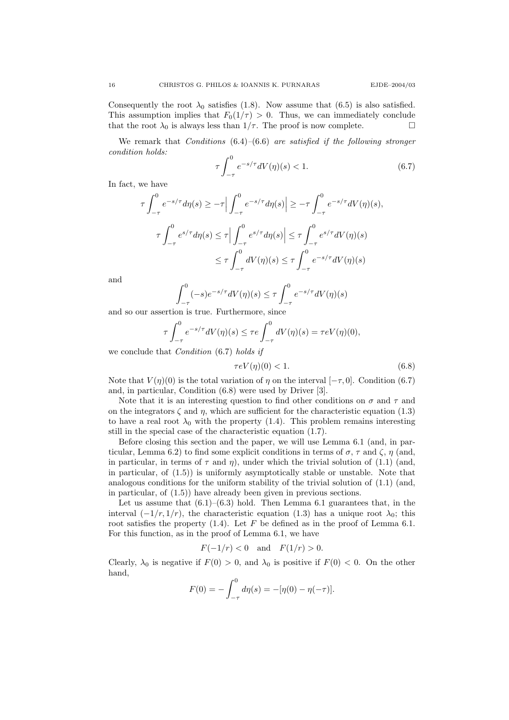Consequently the root  $\lambda_0$  satisfies (1.8). Now assume that (6.5) is also satisfied. This assumption implies that  $F_0(1/\tau) > 0$ . Thus, we can immediately conclude that the root  $\lambda_0$  is always less than  $1/\tau$ . The proof is now complete.

We remark that *Conditions*  $(6.4)$ – $(6.6)$  are satisfied if the following stronger condition holds:

$$
\tau \int_{-\tau}^{0} e^{-s/\tau} dV(\eta)(s) < 1. \tag{6.7}
$$

In fact, we have

$$
\tau \int_{-\tau}^{0} e^{-s/\tau} d\eta(s) \geq -\tau \Big| \int_{-\tau}^{0} e^{-s/\tau} d\eta(s) \Big| \geq -\tau \int_{-\tau}^{0} e^{-s/\tau} dV(\eta)(s),
$$

$$
\tau \int_{-\tau}^{0} e^{s/\tau} d\eta(s) \leq \tau \Big| \int_{-\tau}^{0} e^{s/\tau} d\eta(s) \Big| \leq \tau \int_{-\tau}^{0} e^{s/\tau} dV(\eta)(s)
$$

$$
\leq \tau \int_{-\tau}^{0} dV(\eta)(s) \leq \tau \int_{-\tau}^{0} e^{-s/\tau} dV(\eta)(s)
$$

and

$$
\int_{-\tau}^{0} (-s)e^{-s/\tau}dV(\eta)(s) \le \tau \int_{-\tau}^{0} e^{-s/\tau}dV(\eta)(s)
$$

and so our assertion is true. Furthermore, since

$$
\tau \int_{-\tau}^0 e^{-s/\tau} dV(\eta)(s) \le \tau e \int_{-\tau}^0 dV(\eta)(s) = \tau eV(\eta)(0),
$$

we conclude that Condition (6.7) holds if

$$
\tau eV(\eta)(0) < 1. \tag{6.8}
$$

Note that  $V(\eta)(0)$  is the total variation of  $\eta$  on the interval  $[-\tau, 0]$ . Condition (6.7) and, in particular, Condition (6.8) were used by Driver [3].

Note that it is an interesting question to find other conditions on  $\sigma$  and  $\tau$  and on the integrators  $\zeta$  and  $\eta$ , which are sufficient for the characteristic equation (1.3) to have a real root  $\lambda_0$  with the property (1.4). This problem remains interesting still in the special case of the characteristic equation (1.7).

Before closing this section and the paper, we will use Lemma 6.1 (and, in particular, Lemma 6.2) to find some explicit conditions in terms of  $\sigma$ ,  $\tau$  and  $\zeta$ ,  $\eta$  (and, in particular, in terms of  $\tau$  and  $\eta$ ), under which the trivial solution of (1.1) (and, in particular, of  $(1.5)$  is uniformly asymptotically stable or unstable. Note that analogous conditions for the uniform stability of the trivial solution of (1.1) (and, in particular, of (1.5)) have already been given in previous sections.

Let us assume that  $(6.1)$ – $(6.3)$  hold. Then Lemma 6.1 guarantees that, in the interval  $(-1/r, 1/r)$ , the characteristic equation (1.3) has a unique root  $\lambda_0$ ; this root satisfies the property  $(1.4)$ . Let F be defined as in the proof of Lemma 6.1. For this function, as in the proof of Lemma 6.1, we have

$$
F(-1/r) < 0
$$
 and  $F(1/r) > 0$ .

Clearly,  $\lambda_0$  is negative if  $F(0) > 0$ , and  $\lambda_0$  is positive if  $F(0) < 0$ . On the other hand,

$$
F(0) = -\int_{-\tau}^{0} d\eta(s) = -[\eta(0) - \eta(-\tau)].
$$